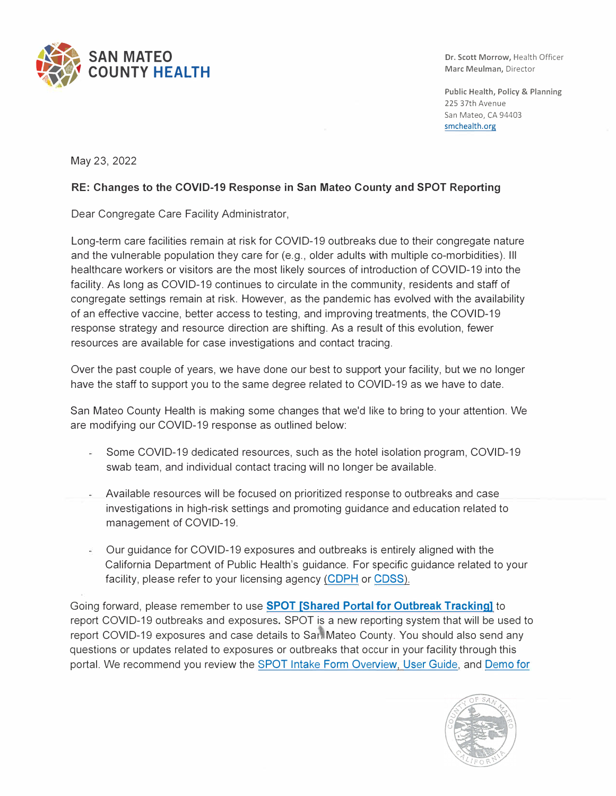

Dr. Scott Morrow, Health Officer Marc Meulman, Director

Public Health, Policy & Planning 225 37th Avenue San Mateo, CA 94403 smchealth.org

May 23, 2022

## **RE: Changes to the COVID-19 Response in San Mateo County and SPOT Reporting**

Dear Congregate Care Facility Administrator,

Long-term care facilities remain at risk for COVID-19 outbreaks due to their congregate nature and the vulnerable population they care for (e.g., older adults with multiple co-morbidities). Ill healthcare workers or visitors are the most likely sources of introduction of COVID-19 into the facility. As long as COVID-19 continues to circulate in the community, residents and staff of congregate settings remain at risk. However, as the pandemic has evolved with the availability of an effective vaccine, better access to testing, and improving treatments, the COVID-19 response strategy and resource direction are shifting. As a result of this evolution, fewer resources are available for case investigations and contact tracing.

Over the past couple of years, we have done our best to support your facility, but we no longer have the staff to support you to the same degree related to COVID-19 as we have to date.

San Mateo County Health is making some changes that we'd like to bring to your attention. We are modifying our COVID-19 response as outlined below:

- Some COVID-19 dedicated resources, such as the hotel isolation program, COVID-19 swab team, and individual contact tracing will no longer be available.
- Available resources will be focused on prioritized response to outbreaks and case investigations in high-risk settings and promoting guidance and education related to management of COVID-19.
- Our guidance for COVID-19 exposures and outbreaks is entirely aligned with the California Department of Public Health's guidance. For specific guidance related to your facility, please refer to your licensing agency ([CDPH](https://protect-us.mimecast.com/s/LuUFCNkKYDFRx17qSjAY7c) or CDSS).

Going forward, please remember to use **[SPOT \[Shared Portal for Outbreak Tracking\]](https://protect-us.mimecast.com/s/s8YUCPNKzmulmqW1F6ZBYy)** to report COVID-19 outbreaks and exposures. SPOT is a new reporting system that will be used to report COVID-19 exposures and case details to San Mateo County. You should also send any questions or updates related to exposures or outbreaks that occur in your facility through this portal. We recommend you review the [SPOT Intake Form Overview,](https://protect-us.mimecast.com/s/jUkbCQWK6JsxqmO1FAYg9k) User [Guide](https://protect-us.mimecast.com/s/xrdECR6KPYcVl8EDSQO2nv), and [Demo for](https://protect-us.mimecast.com/s/iB3qCVO27pfvK13nsEobwH)